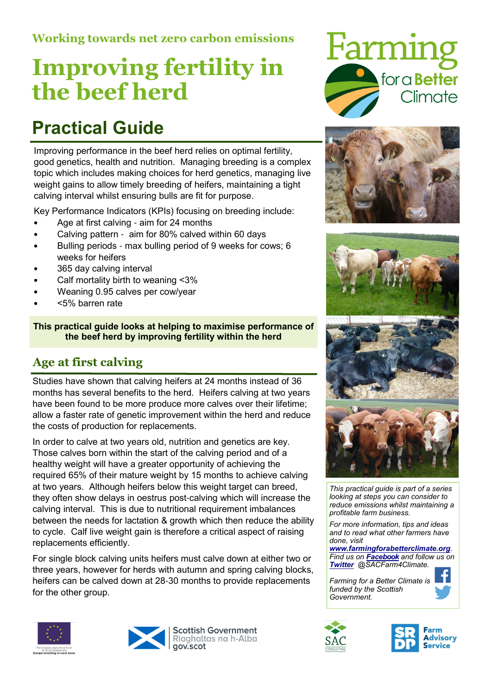### Working towards net zero carbon emissions

# Improving fertility in the beef herd

## Practical Guide

Improving performance in the beef herd relies on optimal fertility, good genetics, health and nutrition. Managing breeding is a complex topic which includes making choices for herd genetics, managing live weight gains to allow timely breeding of heifers, maintaining a tight calving interval whilst ensuring bulls are fit for purpose.

Key Performance Indicators (KPIs) focusing on breeding include:

- Age at first calving aim for 24 months
- Calving pattern aim for 80% calved within 60 days
- Bulling periods max bulling period of 9 weeks for cows; 6 weeks for heifers
- 365 day calving interval
- Calf mortality birth to weaning <3%
- Weaning 0.95 calves per cow/year
- <5% barren rate

This practical guide looks at helping to maximise performance of the beef herd by improving fertility within the herd

### Age at first calving

Studies have shown that calving heifers at 24 months instead of 36 months has several benefits to the herd. Heifers calving at two years have been found to be more produce more calves over their lifetime; allow a faster rate of genetic improvement within the herd and reduce the costs of production for replacements.

In order to calve at two years old, nutrition and genetics are key. Those calves born within the start of the calving period and of a healthy weight will have a greater opportunity of achieving the required 65% of their mature weight by 15 months to achieve calving at two years. Although heifers below this weight target can breed, they often show delays in oestrus post-calving which will increase the calving interval. This is due to nutritional requirement imbalances between the needs for lactation & growth which then reduce the ability to cycle. Calf live weight gain is therefore a critical aspect of raising replacements efficiently.

For single block calving units heifers must calve down at either two or three years, however for herds with autumn and spring calving blocks, heifers can be calved down at 28-30 months to provide replacements for the other group.





**Scottish Government** Riaghaltas na h-Alba gov.scot











This practical guide is part of a series looking at steps you can consider to reduce emissions whilst maintaining a profitable farm business.

For more information, tips and ideas and to read what other farmers have done, visit

www.farmingforabetterclimate.org. Find us on Facebook and follow us on Twitter @SACFarm4Climate.

Farming for a Better Climate is funded by the Scottish Government.